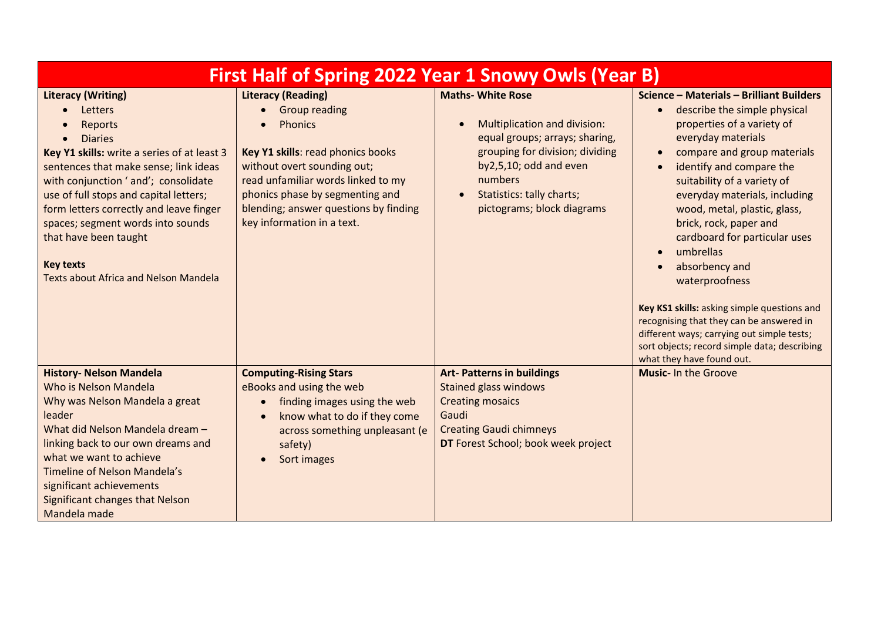| <b>First Half of Spring 2022 Year 1 Snowy Owls (Year B)</b>                                                                                                                                                                                                                                                                                                                                                                                  |                                                                                                                                                                                                                                                                                         |                                                                                                                                                                                                                                            |                                                                                                                                                                                                                                                                                                                                                                                                                                                                                                                                                                                                                                                                                            |  |
|----------------------------------------------------------------------------------------------------------------------------------------------------------------------------------------------------------------------------------------------------------------------------------------------------------------------------------------------------------------------------------------------------------------------------------------------|-----------------------------------------------------------------------------------------------------------------------------------------------------------------------------------------------------------------------------------------------------------------------------------------|--------------------------------------------------------------------------------------------------------------------------------------------------------------------------------------------------------------------------------------------|--------------------------------------------------------------------------------------------------------------------------------------------------------------------------------------------------------------------------------------------------------------------------------------------------------------------------------------------------------------------------------------------------------------------------------------------------------------------------------------------------------------------------------------------------------------------------------------------------------------------------------------------------------------------------------------------|--|
| <b>Literacy (Writing)</b><br>Letters<br>$\bullet$<br><b>Reports</b><br><b>Diaries</b><br>Key Y1 skills: write a series of at least 3<br>sentences that make sense; link ideas<br>with conjunction ' and'; consolidate<br>use of full stops and capital letters;<br>form letters correctly and leave finger<br>spaces; segment words into sounds<br>that have been taught<br><b>Key texts</b><br><b>Texts about Africa and Nelson Mandela</b> | <b>Literacy (Reading)</b><br><b>Group reading</b><br><b>Phonics</b><br>Key Y1 skills: read phonics books<br>without overt sounding out;<br>read unfamiliar words linked to my<br>phonics phase by segmenting and<br>blending; answer questions by finding<br>key information in a text. | <b>Maths- White Rose</b><br>Multiplication and division:<br>equal groups; arrays; sharing,<br>grouping for division; dividing<br>by2,5,10; odd and even<br>numbers<br>Statistics: tally charts;<br>$\bullet$<br>pictograms; block diagrams | Science - Materials - Brilliant Builders<br>describe the simple physical<br>$\bullet$<br>properties of a variety of<br>everyday materials<br>compare and group materials<br>$\bullet$<br>identify and compare the<br>$\bullet$<br>suitability of a variety of<br>everyday materials, including<br>wood, metal, plastic, glass,<br>brick, rock, paper and<br>cardboard for particular uses<br>umbrellas<br>$\bullet$<br>absorbency and<br>$\bullet$<br>waterproofness<br>Key KS1 skills: asking simple questions and<br>recognising that they can be answered in<br>different ways; carrying out simple tests;<br>sort objects; record simple data; describing<br>what they have found out. |  |
| <b>History- Nelson Mandela</b><br>Who is Nelson Mandela<br>Why was Nelson Mandela a great<br>leader<br>What did Nelson Mandela dream -<br>linking back to our own dreams and<br>what we want to achieve<br>Timeline of Nelson Mandela's<br>significant achievements<br>Significant changes that Nelson<br>Mandela made                                                                                                                       | <b>Computing-Rising Stars</b><br>eBooks and using the web<br>finding images using the web<br>$\bullet$<br>know what to do if they come<br>across something unpleasant (e<br>safety)<br>Sort images                                                                                      | <b>Art- Patterns in buildings</b><br><b>Stained glass windows</b><br><b>Creating mosaics</b><br>Gaudi<br><b>Creating Gaudi chimneys</b><br>DT Forest School; book week project                                                             | <b>Music-In the Groove</b>                                                                                                                                                                                                                                                                                                                                                                                                                                                                                                                                                                                                                                                                 |  |